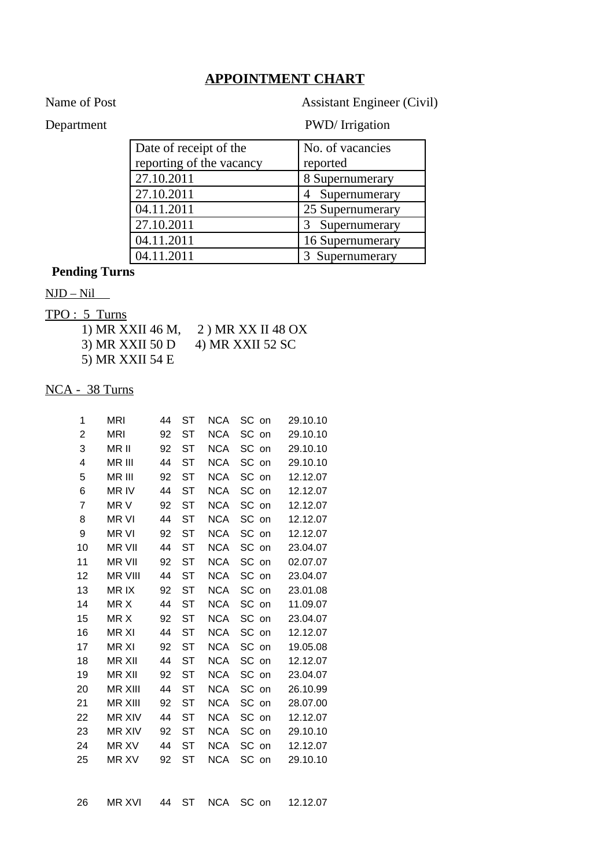## **APPOINTMENT CHART**

Name of Post **Assistant Engineer (Civil)** 

## Department PWD/ Irrigation

| Date of receipt of the   | No. of vacancies   |
|--------------------------|--------------------|
| reporting of the vacancy | reported           |
| 27.10.2011               | 8 Supernumerary    |
| 27.10.2011               | Supernumerary<br>4 |
| 04.11.2011               | 25 Supernumerary   |
| 27.10.2011               | Supernumerary<br>З |
| 04.11.2011               | 16 Supernumerary   |
| 04.11.2011               | 3 Supernumerary    |

## **Pending Turns**

### $NJD - Nil$

TPO : 5 Turns

|                 | 1) MR XXII 46 M, 2) MR XX II 48 OX |
|-----------------|------------------------------------|
| 3) MR XXII 50 D | 4) MR XXII 52 SC                   |
| 5) MR XXII 54 E |                                    |

## NCA - 38 Turns

| 1  | MRI            | 44 | <b>ST</b> | <b>NCA</b> | SC on | 29.10.10 |
|----|----------------|----|-----------|------------|-------|----------|
| 2  | MRI            | 92 | <b>ST</b> | <b>NCA</b> | SC on | 29.10.10 |
| 3  | MR II          | 92 | <b>ST</b> | <b>NCA</b> | SC on | 29.10.10 |
| 4  | MR III         | 44 | <b>ST</b> | <b>NCA</b> | SC on | 29.10.10 |
| 5  | MR III         | 92 | <b>ST</b> | <b>NCA</b> | SC on | 12.12.07 |
| 6  | MR IV          | 44 | <b>ST</b> | <b>NCA</b> | SC on | 12.12.07 |
| 7  | MR V           | 92 | ST        | <b>NCA</b> | SC on | 12.12.07 |
| 8  | <b>MRVI</b>    | 44 | <b>ST</b> | <b>NCA</b> | SC on | 12.12.07 |
| 9  | <b>MRVI</b>    | 92 | ST        | <b>NCA</b> | SC on | 12.12.07 |
| 10 | <b>MR VII</b>  | 44 | ST        | <b>NCA</b> | SC on | 23.04.07 |
| 11 | <b>MR VII</b>  | 92 | <b>ST</b> | <b>NCA</b> | SC on | 02.07.07 |
| 12 | <b>MR VIII</b> | 44 | <b>ST</b> | <b>NCA</b> | SC on | 23.04.07 |
| 13 | <b>MRIX</b>    | 92 | ST        | <b>NCA</b> | SC on | 23.01.08 |
| 14 | MR X           | 44 | ST        | <b>NCA</b> | SC on | 11.09.07 |
| 15 | MR X           | 92 | <b>ST</b> | <b>NCA</b> | SC on | 23.04.07 |
| 16 | MR XI          | 44 | ST        | NCA        | SC on | 12.12.07 |
| 17 | MR XI          | 92 | <b>ST</b> | <b>NCA</b> | SC on | 19.05.08 |
| 18 | MR XII         | 44 | ST        | <b>NCA</b> | SC on | 12.12.07 |
| 19 | MR XII         | 92 | <b>ST</b> | <b>NCA</b> | SC on | 23.04.07 |
| 20 | MR XIII        | 44 | ST        | <b>NCA</b> | SC on | 26.10.99 |
| 21 | <b>MR XIII</b> | 92 | <b>ST</b> | <b>NCA</b> | SC on | 28.07.00 |
| 22 | <b>MR XIV</b>  | 44 | <b>ST</b> | <b>NCA</b> | SC on | 12.12.07 |
| 23 | <b>MR XIV</b>  | 92 | <b>ST</b> | <b>NCA</b> | SC on | 29.10.10 |
| 24 | MR XV          | 44 | ST        | <b>NCA</b> | SC on | 12.12.07 |
| 25 | MR XV          | 92 | ST        | <b>NCA</b> | SC on | 29.10.10 |
|    |                |    |           |            |       |          |

| 26 MR XVI 44 ST NCA SC on 12.12.07 |  |  |  |  |  |
|------------------------------------|--|--|--|--|--|
|------------------------------------|--|--|--|--|--|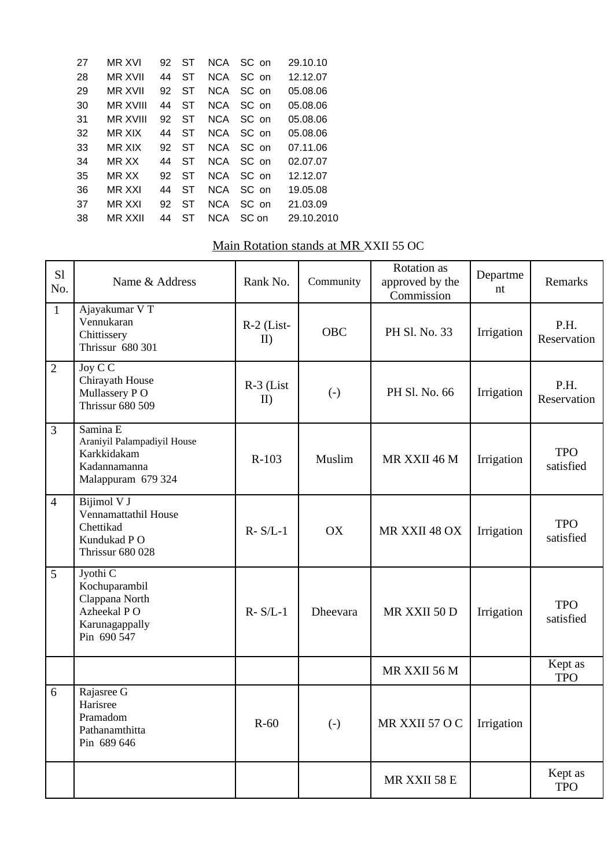| 27 | <b>MR XVI</b>   | 92 | ST | <b>NCA</b> | $SC$ on | 29.10.10   |
|----|-----------------|----|----|------------|---------|------------|
| 28 | MR XVII         | 44 | ST | <b>NCA</b> | $SC$ on | 12.12.07   |
| 29 | MR XVII         | 92 | ST | <b>NCA</b> | SC on   | 05.08.06   |
| 30 | MR XVIII        | 44 | ST | <b>NCA</b> | SC on   | 05.08.06   |
| 31 | <b>MR XVIII</b> | 92 | ST | <b>NCA</b> | SC on   | 05.08.06   |
| 32 | MR XIX          | 44 | ST | <b>NCA</b> | $SC$ on | 05.08.06   |
| 33 | MR XIX          | 92 | ST | NCA        | SC on   | 07.11.06   |
| 34 | MR XX           | 44 | ST | <b>NCA</b> | SC on   | 02.07.07   |
| 35 | MR XX           | 92 | ST | <b>NCA</b> | $SC$ on | 12.12.07   |
| 36 | MR XXI          | 44 | ST | <b>NCA</b> | $SC$ on | 19.05.08   |
| 37 | <b>MRXXI</b>    | 92 | ST | NCA        | SC on   | 21.03.09   |
| 38 | MR XXII         | 44 | ST | NCA        | SC on   | 29.10.2010 |
|    |                 |    |    |            |         |            |

# Main Rotation stands at MR XXII 55 OC

| Sl<br>No.      | Name & Address                                                                                   | Rank No.            | Community         | Rotation as<br>approved by the<br>Commission | Departme<br>nt | Remarks                 |
|----------------|--------------------------------------------------------------------------------------------------|---------------------|-------------------|----------------------------------------------|----------------|-------------------------|
| $\mathbf{1}$   | Ajayakumar VT<br>Vennukaran<br>Chittissery<br>Thrissur 680 301                                   | $R-2$ (List-<br>II) | <b>OBC</b>        | PH Sl. No. 33                                | Irrigation     | P.H.<br>Reservation     |
| $\overline{2}$ | Joy $\overline{C}$ $\overline{C}$<br>Chirayath House<br>Mullassery PO<br><b>Thrissur 680 509</b> | $R-3$ (List<br>II)  | $\left( -\right)$ | PH Sl. No. 66                                | Irrigation     | P.H.<br>Reservation     |
| $\overline{3}$ | Samina E<br>Araniyil Palampadiyil House<br>Karkkidakam<br>Kadannamanna<br>Malappuram 679 324     | R-103               | Muslim            | MR XXII 46 M                                 | Irrigation     | <b>TPO</b><br>satisfied |
| $\overline{4}$ | Bijimol V J<br>Vennamattathil House<br>Chettikad<br>Kundukad PO<br><b>Thrissur 680 028</b>       | $R-S/L-1$           | <b>OX</b>         | MR XXII 48 OX                                | Irrigation     | <b>TPO</b><br>satisfied |
| 5              | Jyothi C<br>Kochuparambil<br>Clappana North<br>Azheekal PO<br>Karunagappally<br>Pin 690 547      | $R-S/L-1$           | Dheevara          | MR XXII 50 D                                 | Irrigation     | <b>TPO</b><br>satisfied |
|                |                                                                                                  |                     |                   | MR XXII 56 M                                 |                | Kept as<br><b>TPO</b>   |
| 6              | Rajasree G<br>Harisree<br>Pramadom<br>Pathanamthitta<br>Pin 689 646                              | $R-60$              | $\left( -\right)$ | MR XXII 57 O C                               | Irrigation     |                         |
|                |                                                                                                  |                     |                   | MR XXII 58 E                                 |                | Kept as<br><b>TPO</b>   |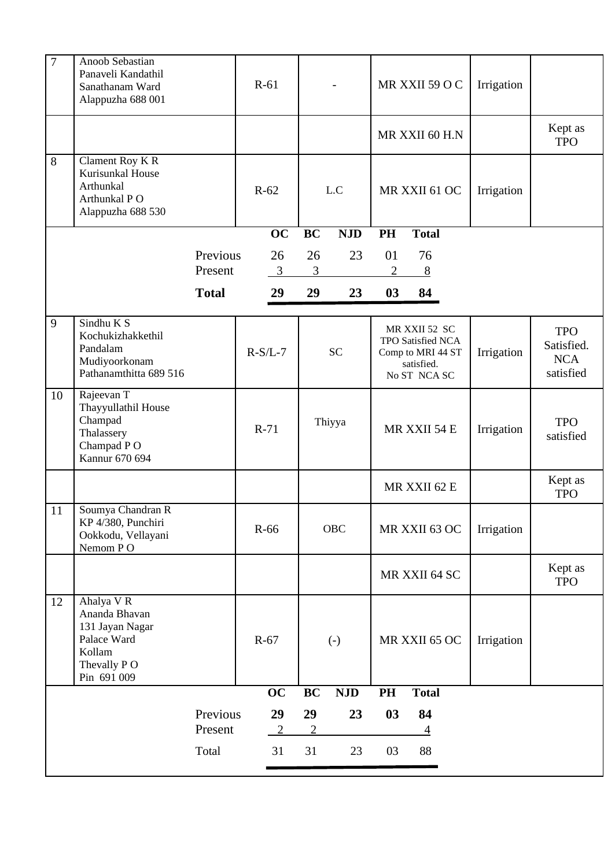| $\overline{7}$ | Anoob Sebastian<br>Panaveli Kandathil<br>Sanathanam Ward<br>Alappuzha 688 001                         |                     | $R-61$    |                      |                   |         | MR XXII 59 O C                                                                        | Irrigation |                                                     |
|----------------|-------------------------------------------------------------------------------------------------------|---------------------|-----------|----------------------|-------------------|---------|---------------------------------------------------------------------------------------|------------|-----------------------------------------------------|
|                |                                                                                                       |                     |           |                      |                   |         | MR XXII 60 H.N                                                                        |            | Kept as<br><b>TPO</b>                               |
| 8              | Clament Roy K R<br>Kurisunkal House<br>Arthunkal<br>Arthunkal PO<br>Alappuzha 688 530                 |                     | $R-62$    |                      | L.C               |         | MR XXII 61 OC                                                                         | Irrigation |                                                     |
|                |                                                                                                       |                     | <b>OC</b> | <b>BC</b>            | <b>NJD</b>        | PH      | <b>Total</b>                                                                          |            |                                                     |
|                |                                                                                                       | Previous<br>Present | 26<br>3   | 26<br>3              | 23                | 01<br>2 | 76<br>8                                                                               |            |                                                     |
|                |                                                                                                       | <b>Total</b>        | 29        | 29                   | 23                | 03      | 84                                                                                    |            |                                                     |
| 9              | Sindhu K S<br>Kochukizhakkethil<br>Pandalam<br>Mudiyoorkonam<br>Pathanamthitta 689 516                |                     | $R-S/L-7$ |                      | <b>SC</b>         |         | MR XXII 52 SC<br>TPO Satisfied NCA<br>Comp to MRI 44 ST<br>satisfied.<br>No ST NCA SC | Irrigation | <b>TPO</b><br>Satisfied.<br><b>NCA</b><br>satisfied |
| 10             | Rajeevan T<br>Thayyullathil House<br>Champad<br>Thalassery<br>Champad P O<br>Kannur 670 694           |                     | $R-71$    |                      | Thiyya            |         | MR XXII 54 E                                                                          | Irrigation | <b>TPO</b><br>satisfied                             |
|                |                                                                                                       |                     |           |                      |                   |         | MR XXII 62 E                                                                          |            | Kept as<br><b>TPO</b>                               |
| 11             | Soumya Chandran R<br>KP 4/380, Punchiri<br>Ookkodu, Vellayani<br>Nemom PO                             |                     | R-66      |                      | <b>OBC</b>        |         | MR XXII 63 OC                                                                         | Irrigation |                                                     |
|                |                                                                                                       |                     |           |                      |                   |         | MR XXII 64 SC                                                                         |            | Kept as<br><b>TPO</b>                               |
| 12             | Ahalya V R<br>Ananda Bhavan<br>131 Jayan Nagar<br>Palace Ward<br>Kollam<br>Thevally PO<br>Pin 691 009 |                     | $R-67$    |                      | $\left( -\right)$ |         | MR XXII 65 OC                                                                         | Irrigation |                                                     |
|                |                                                                                                       |                     | OC        | BC                   | <b>NJD</b>        | PH      | <b>Total</b>                                                                          |            |                                                     |
|                |                                                                                                       | Previous<br>Present | 29<br>2   | 29<br>$\overline{2}$ | 23                | 03      | 84<br>$\overline{4}$                                                                  |            |                                                     |
|                |                                                                                                       | Total               | 31        | 31                   | 23                | 03      | 88                                                                                    |            |                                                     |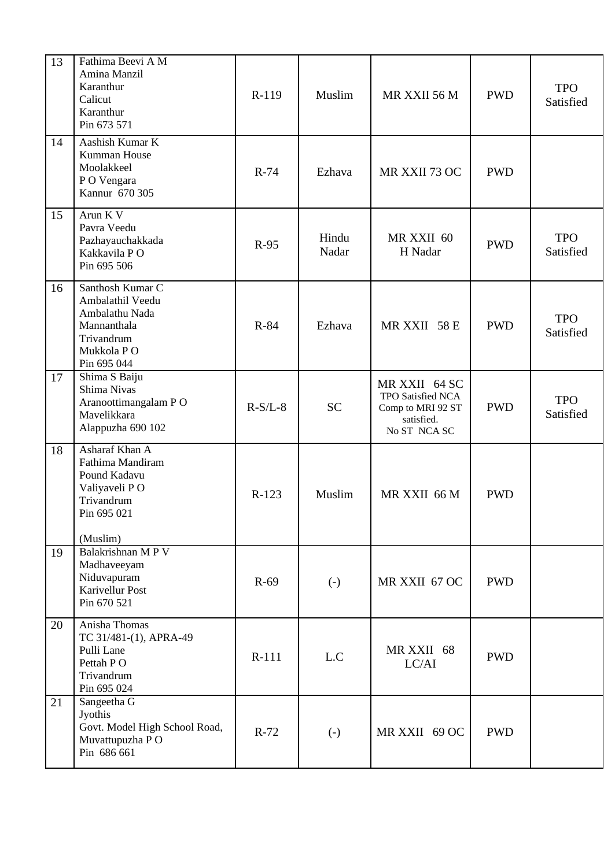| 13 | Fathima Beevi A M<br>Amina Manzil<br>Karanthur<br>Calicut<br>Karanthur<br>Pin 673 571                            | R-119     | Muslim            | MR XXII 56 M                                                                          | <b>PWD</b> | <b>TPO</b><br>Satisfied |
|----|------------------------------------------------------------------------------------------------------------------|-----------|-------------------|---------------------------------------------------------------------------------------|------------|-------------------------|
| 14 | Aashish Kumar K<br>Kumman House<br>Moolakkeel<br>P O Vengara<br>Kannur 670 305                                   | $R-74$    | Ezhava            | MR XXII 73 OC                                                                         | <b>PWD</b> |                         |
| 15 | Arun K V<br>Pavra Veedu<br>Pazhayauchakkada<br>Kakkavila PO<br>Pin 695 506                                       | $R-95$    | Hindu<br>Nadar    | MR XXII 60<br>H Nadar                                                                 | <b>PWD</b> | <b>TPO</b><br>Satisfied |
| 16 | Santhosh Kumar C<br>Ambalathil Veedu<br>Ambalathu Nada<br>Mannanthala<br>Trivandrum<br>Mukkola PO<br>Pin 695 044 | R-84      | Ezhava            | MR XXII 58 E                                                                          | <b>PWD</b> | <b>TPO</b><br>Satisfied |
| 17 | Shima S Baiju<br>Shima Nivas<br>Aranoottimangalam PO<br>Mavelikkara<br>Alappuzha 690 102                         | $R-S/L-8$ | <b>SC</b>         | MR XXII 64 SC<br>TPO Satisfied NCA<br>Comp to MRI 92 ST<br>satisfied.<br>No ST NCA SC | <b>PWD</b> | <b>TPO</b><br>Satisfied |
| 18 | Asharaf Khan A<br>Fathima Mandiram<br>Pound Kadavu<br>Valiyaveli PO<br>Trivandrum<br>Pin 695 021<br>(Muslim)     | R-123     | Muslim            | MR XXII 66 M                                                                          | <b>PWD</b> |                         |
| 19 | Balakrishnan MPV<br>Madhaveeyam<br>Niduvapuram<br><b>Karivellur Post</b><br>Pin 670 521                          | $R-69$    | $\left( -\right)$ | MR XXII 67 OC                                                                         | <b>PWD</b> |                         |
| 20 | Anisha Thomas<br>TC 31/481-(1), APRA-49<br>Pulli Lane<br>Pettah PO<br>Trivandrum<br>Pin 695 024                  | R-111     | L.C               | MR XXII 68<br>LC/AI                                                                   | <b>PWD</b> |                         |
| 21 | Sangeetha G<br>Jyothis<br>Govt. Model High School Road,<br>Muvattupuzha PO<br>Pin 686 661                        | $R-72$    | $\left( -\right)$ | MR XXII 69 OC                                                                         | <b>PWD</b> |                         |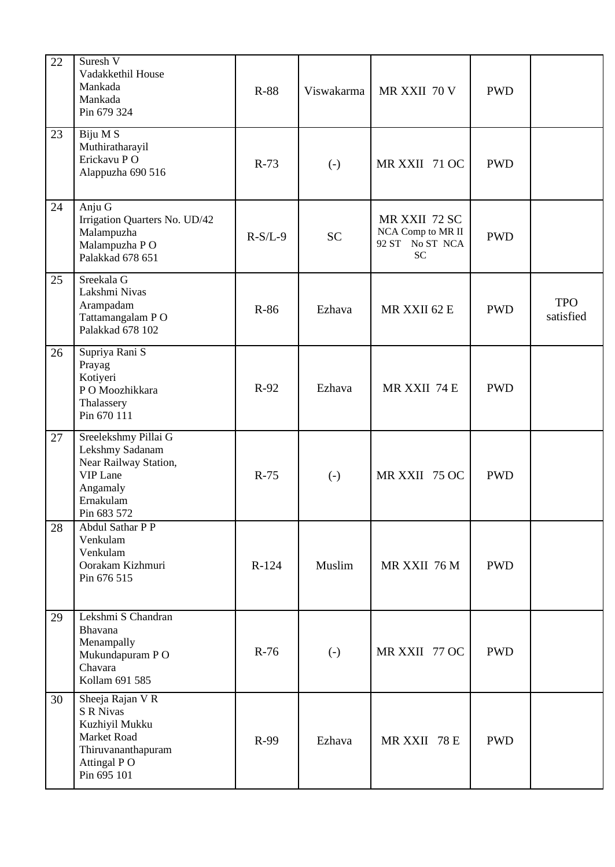| 22 | Suresh V<br>Vadakkethil House<br>Mankada<br>Mankada<br>Pin 679 324                                                               | R-88      | Viswakarma                 | MR XXII 70 V                                                       | <b>PWD</b> |                         |
|----|----------------------------------------------------------------------------------------------------------------------------------|-----------|----------------------------|--------------------------------------------------------------------|------------|-------------------------|
| 23 | Biju M S<br>Muthiratharayil<br>Erickavu PO<br>Alappuzha 690 516                                                                  | $R-73$    | $\left( \mathbf{-}\right)$ | MR XXII 71 OC                                                      | <b>PWD</b> |                         |
| 24 | Anju G<br>Irrigation Quarters No. UD/42<br>Malampuzha<br>Malampuzha PO<br>Palakkad 678 651                                       | $R-S/L-9$ | <b>SC</b>                  | MR XXII 72 SC<br>NCA Comp to MR II<br>92 ST No ST NCA<br><b>SC</b> | <b>PWD</b> |                         |
| 25 | Sreekala G<br>Lakshmi Nivas<br>Arampadam<br>Tattamangalam PO<br>Palakkad 678 102                                                 | R-86      | Ezhava                     | MR XXII 62 E                                                       | <b>PWD</b> | <b>TPO</b><br>satisfied |
| 26 | Supriya Rani S<br>Prayag<br>Kotiyeri<br>P O Moozhikkara<br>Thalassery<br>Pin 670 111                                             | R-92      | Ezhava                     | MR XXII 74 E                                                       | <b>PWD</b> |                         |
| 27 | Sreelekshmy Pillai G<br>Lekshmy Sadanam<br>Near Railway Station,<br><b>VIP Lane</b><br>Angamaly<br>Ernakulam<br>Pin 683 572      | $R-75$    | $\left( -\right)$          | MR XXII 75 OC                                                      | <b>PWD</b> |                         |
| 28 | Abdul Sathar P P<br>Venkulam<br>Venkulam<br>Oorakam Kizhmuri<br>Pin 676 515                                                      | $R-124$   | Muslim                     | MR XXII 76 M                                                       | <b>PWD</b> |                         |
| 29 | Lekshmi S Chandran<br>Bhavana<br>Menampally<br>Mukundapuram PO<br>Chavara<br>Kollam 691 585                                      | $R-76$    | $\left( \mathbf{-}\right)$ | MR XXII 77 OC                                                      | <b>PWD</b> |                         |
| 30 | Sheeja Rajan V R<br><b>S R Nivas</b><br>Kuzhiyil Mukku<br>Market Road<br>Thiruvananthapuram<br><b>Attingal PO</b><br>Pin 695 101 | R-99      | Ezhava                     | MR XXII 78 E                                                       | <b>PWD</b> |                         |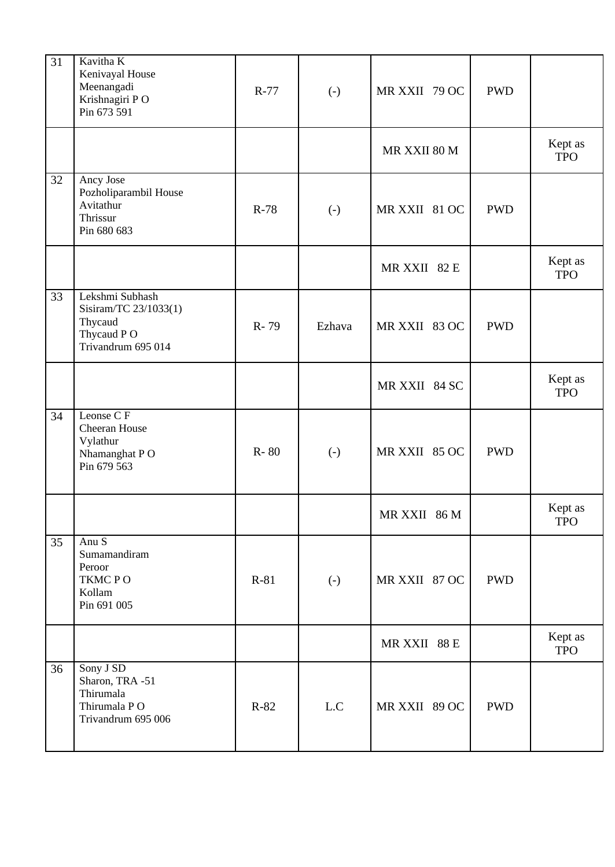| 31 | Kavitha K<br>Kenivayal House<br>Meenangadi<br>Krishnagiri PO<br>Pin 673 591             | R-77   | $(-)$             | MR XXII 79 OC | <b>PWD</b> |                       |
|----|-----------------------------------------------------------------------------------------|--------|-------------------|---------------|------------|-----------------------|
|    |                                                                                         |        |                   | MR XXII 80 M  |            | Kept as<br><b>TPO</b> |
| 32 | Ancy Jose<br>Pozholiparambil House<br>Avitathur<br>Thrissur<br>Pin 680 683              | R-78   | $(-)$             | MR XXII 81 OC | <b>PWD</b> |                       |
|    |                                                                                         |        |                   | MR XXII 82 E  |            | Kept as<br><b>TPO</b> |
| 33 | Lekshmi Subhash<br>Sisiram/TC 23/1033(1)<br>Thycaud<br>Thycaud PO<br>Trivandrum 695 014 | R-79   | Ezhava            | MR XXII 83 OC | <b>PWD</b> |                       |
|    |                                                                                         |        |                   | MR XXII 84 SC |            | Kept as<br><b>TPO</b> |
| 34 | Leonse C F<br>Cheeran House<br>Vylathur<br>Nhamanghat PO<br>Pin 679 563                 | R-80   | $(-)$             | MR XXII 85 OC | <b>PWD</b> |                       |
|    |                                                                                         |        |                   | MR XXII 86 M  |            | Kept as<br><b>TPO</b> |
| 35 | Anu S<br>Sumamandiram<br>Peroor<br>TKMCPO<br>Kollam<br>Pin 691 005                      | R-81   | $\left( -\right)$ | MR XXII 87 OC | <b>PWD</b> |                       |
|    |                                                                                         |        |                   | MR XXII 88 E  |            | Kept as<br><b>TPO</b> |
| 36 | Sony J SD<br>Sharon, TRA -51<br>Thirumala<br>Thirumala PO<br>Trivandrum 695 006         | $R-82$ | L.C               | MR XXII 89 OC | <b>PWD</b> |                       |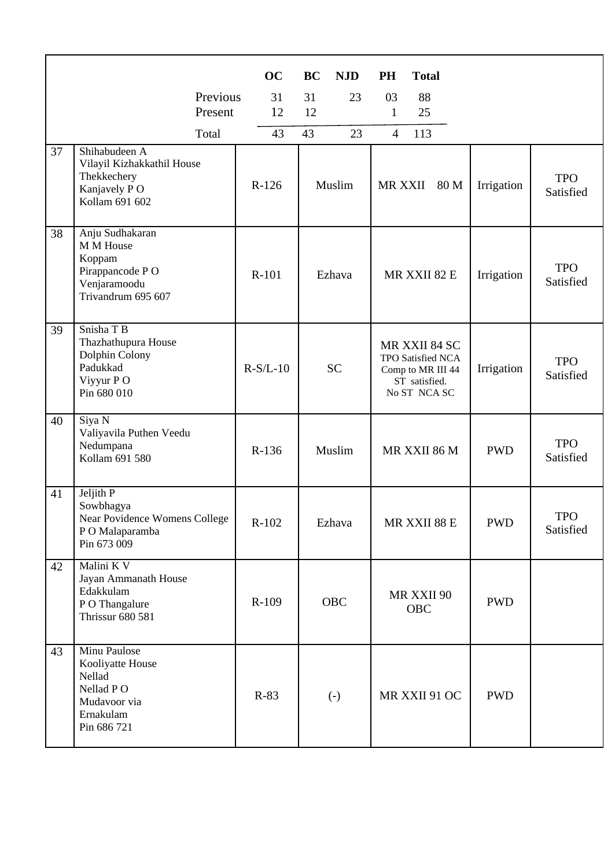|    |                                                                                                     |          | OC         | <b>BC</b> | <b>NJD</b>        | PH             | <b>Total</b>                                                                             |            |                         |
|----|-----------------------------------------------------------------------------------------------------|----------|------------|-----------|-------------------|----------------|------------------------------------------------------------------------------------------|------------|-------------------------|
|    |                                                                                                     | Previous | 31         | 31        | 23                | 03             | 88                                                                                       |            |                         |
|    |                                                                                                     | Present  | 12         | 12        |                   | $\mathbf{1}$   | 25                                                                                       |            |                         |
| 37 | Shihabudeen A                                                                                       | Total    | 43         | 43        | 23                | $\overline{4}$ | 113                                                                                      |            |                         |
|    | Vilayil Kizhakkathil House<br>Thekkechery<br>Kanjavely PO<br>Kollam 691 602                         |          | $R-126$    |           | Muslim            | MR XXII        | 80 M                                                                                     | Irrigation | <b>TPO</b><br>Satisfied |
| 38 | Anju Sudhakaran<br>M M House<br>Koppam<br>Pirappancode PO<br>Venjaramoodu<br>Trivandrum 695 607     |          | R-101      |           | Ezhava            |                | MR XXII 82 E                                                                             | Irrigation | <b>TPO</b><br>Satisfied |
| 39 | Snisha T B<br>Thazhathupura House<br>Dolphin Colony<br>Padukkad<br>Viyyur PO<br>Pin 680 010         |          | $R-S/L-10$ |           | <b>SC</b>         |                | MR XXII 84 SC<br>TPO Satisfied NCA<br>Comp to MR III 44<br>ST satisfied.<br>No ST NCA SC | Irrigation | <b>TPO</b><br>Satisfied |
| 40 | Siya N<br>Valiyavila Puthen Veedu<br>Nedumpana<br>Kollam 691 580                                    |          | R-136      |           | Muslim            |                | MR XXII 86 M                                                                             | <b>PWD</b> | <b>TPO</b><br>Satisfied |
| 41 | Jeljith P<br>Sowbhagya<br>Near Povidence Womens College<br>P O Malaparamba<br>Pin 673 009           |          | $R-102$    |           | Ezhava            |                | MR XXII 88 E                                                                             | <b>PWD</b> | <b>TPO</b><br>Satisfied |
| 42 | Malini K V<br>Jayan Ammanath House<br>Edakkulam<br>P O Thangalure<br><b>Thrissur 680 581</b>        |          | R-109      |           | <b>OBC</b>        |                | MR XXII 90<br>OBC                                                                        | <b>PWD</b> |                         |
| 43 | Minu Paulose<br>Kooliyatte House<br>Nellad<br>Nellad PO<br>Mudavoor via<br>Ernakulam<br>Pin 686 721 |          | $R-83$     |           | $\left( -\right)$ |                | MR XXII 91 OC                                                                            | <b>PWD</b> |                         |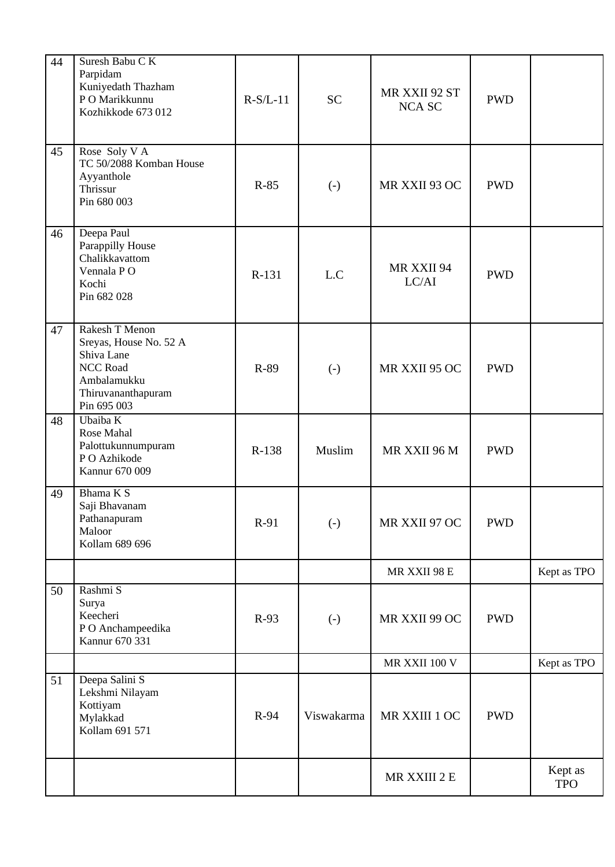| 44 | Suresh Babu C K<br>Parpidam<br>Kuniyedath Thazham<br>P O Marikkunnu<br>Kozhikkode 673 012                                     | $R-S/L-11$ | <b>SC</b>              | MR XXII 92 ST<br><b>NCA SC</b> | <b>PWD</b> |                       |
|----|-------------------------------------------------------------------------------------------------------------------------------|------------|------------------------|--------------------------------|------------|-----------------------|
| 45 | Rose Soly V A<br>TC 50/2088 Komban House<br>Ayyanthole<br>Thrissur<br>Pin 680 003                                             | R-85       | $\left( \cdot \right)$ | MR XXII 93 OC                  | <b>PWD</b> |                       |
| 46 | Deepa Paul<br>Parappilly House<br>Chalikkavattom<br>Vennala PO<br>Kochi<br>Pin 682 028                                        | R-131      | L.C                    | MR XXII 94<br>LC/AI            | <b>PWD</b> |                       |
| 47 | Rakesh T Menon<br>Sreyas, House No. 52 A<br>Shiva Lane<br><b>NCC Road</b><br>Ambalamukku<br>Thiruvananthapuram<br>Pin 695 003 | R-89       | $(-)$                  | MR XXII 95 OC                  | <b>PWD</b> |                       |
| 48 | Ubaiba K<br>Rose Mahal<br>Palottukunnumpuram<br>P O Azhikode<br>Kannur 670 009                                                | R-138      | Muslim                 | MR XXII 96 M                   | <b>PWD</b> |                       |
| 49 | Bhama K S<br>Saji Bhavanam<br>Pathanapuram<br>Maloor<br>Kollam 689 696                                                        | R-91       | $(-)$                  | MR XXII 97 OC                  | <b>PWD</b> |                       |
|    |                                                                                                                               |            |                        | MR XXII 98 E                   |            | Kept as TPO           |
| 50 | Rashmi S<br>Surya<br>Keecheri<br>P O Anchampeedika<br>Kannur 670 331                                                          | R-93       | $\left( -\right)$      | MR XXII 99 OC                  | <b>PWD</b> |                       |
|    |                                                                                                                               |            |                        | MR XXII 100 V                  |            | Kept as TPO           |
| 51 | Deepa Salini S<br>Lekshmi Nilayam<br>Kottiyam<br>Mylakkad<br>Kollam 691 571                                                   | $R-94$     | Viswakarma             | MR XXIII 1 OC                  | <b>PWD</b> |                       |
|    |                                                                                                                               |            |                        | MR XXIII 2 E                   |            | Kept as<br><b>TPO</b> |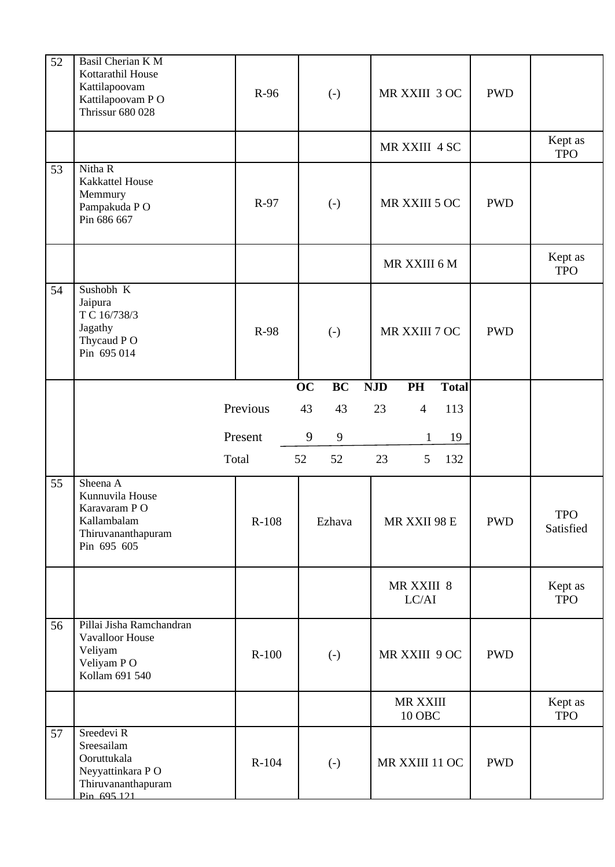| 52 | Basil Cherian K M<br>Kottarathil House<br>Kattilapoovam<br>Kattilapoovam PO<br><b>Thrissur 680 028</b> | R-96     | $\left( -\right)$      | MR XXIII 3 OC                    | <b>PWD</b> |                         |
|----|--------------------------------------------------------------------------------------------------------|----------|------------------------|----------------------------------|------------|-------------------------|
|    |                                                                                                        |          |                        | MR XXIII 4 SC                    |            | Kept as<br><b>TPO</b>   |
| 53 | Nitha R<br><b>Kakkattel House</b><br>Memmury<br>Pampakuda PO<br>Pin 686 667                            | R-97     | $\left( -\right)$      | MR XXIII 5 OC                    | <b>PWD</b> |                         |
|    |                                                                                                        |          |                        | MR XXIII 6 M                     |            | Kept as<br><b>TPO</b>   |
| 54 | Sushobh K<br>Jaipura<br>T C 16/738/3<br>Jagathy<br>Thycaud PO<br>Pin 695 014                           | R-98     | $(-)$                  | MR XXIII 7 OC                    | <b>PWD</b> |                         |
|    |                                                                                                        |          | <b>BC</b><br><b>OC</b> | <b>NJD</b><br>PH<br><b>Total</b> |            |                         |
|    |                                                                                                        | Previous | 43<br>43               | 23<br>113<br>$\overline{4}$      |            |                         |
|    |                                                                                                        | Present  | 9<br>$\overline{9}$    | 19<br>$\mathbf{1}$               |            |                         |
|    |                                                                                                        | Total    | 52<br>52               | 23<br>5<br>132                   |            |                         |
| 55 | Sheena A<br>Kunnuvila House<br>Karavaram PO<br>Kallambalam<br>Thiruvananthapuram<br>Pin 695 605        | R-108    | Ezhava                 | MR XXII 98 E                     | <b>PWD</b> | <b>TPO</b><br>Satisfied |
|    |                                                                                                        |          |                        | MR XXIII 8<br>LC/AI              |            | Kept as<br><b>TPO</b>   |
| 56 | Pillai Jisha Ramchandran<br><b>Vavalloor House</b><br>Veliyam<br>Veliyam PO<br>Kollam 691 540          | $R-100$  | $\left( -\right)$      | MR XXIII 9 OC                    | <b>PWD</b> |                         |
|    |                                                                                                        |          |                        | MR XXIII<br>10 OBC               |            | Kept as<br><b>TPO</b>   |
| 57 | Sreedevi R<br>Sreesailam<br>Ooruttukala<br>Neyyattinkara PO<br>Thiruvananthapuram<br>Pin 695 121       | R-104    | $\left( -\right)$      | MR XXIII 11 OC                   | <b>PWD</b> |                         |